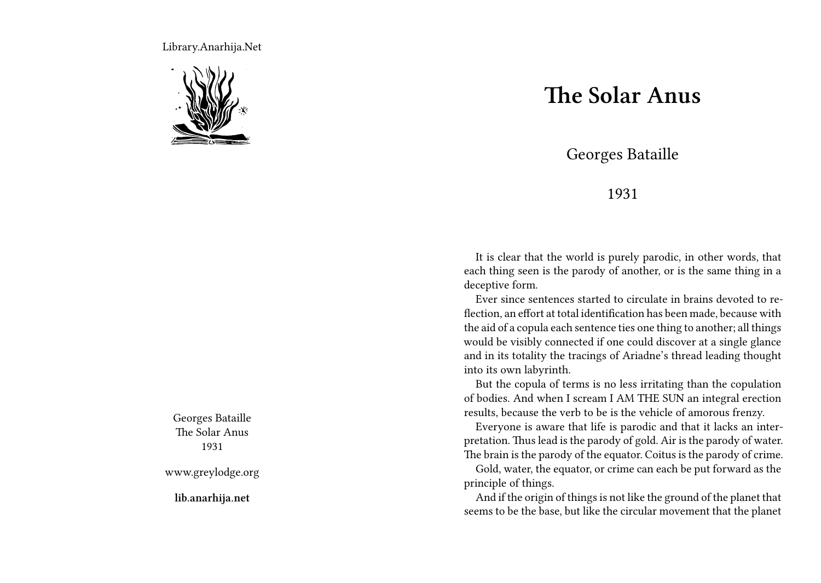Library.Anarhija.Net



Georges Bataille The Solar Anus 1931

www.greylodge.org

**lib.anarhija.net**

## **The Solar Anus**

Georges Bataille

## 1931

It is clear that the world is purely parodic, in other words, that each thing seen is the parody of another, or is the same thing in a deceptive form.

Ever since sentences started to circulate in brains devoted to reflection, an effort at total identification has been made, because with the aid of a copula each sentence ties one thing to another; all things would be visibly connected if one could discover at a single glance and in its totality the tracings of Ariadne's thread leading thought into its own labyrinth.

But the copula of terms is no less irritating than the copulation of bodies. And when I scream I AM THE SUN an integral erection results, because the verb to be is the vehicle of amorous frenzy.

Everyone is aware that life is parodic and that it lacks an interpretation. Thus lead is the parody of gold. Air is the parody of water. The brain is the parody of the equator. Coitus is the parody of crime.

Gold, water, the equator, or crime can each be put forward as the principle of things.

And if the origin of things is not like the ground of the planet that seems to be the base, but like the circular movement that the planet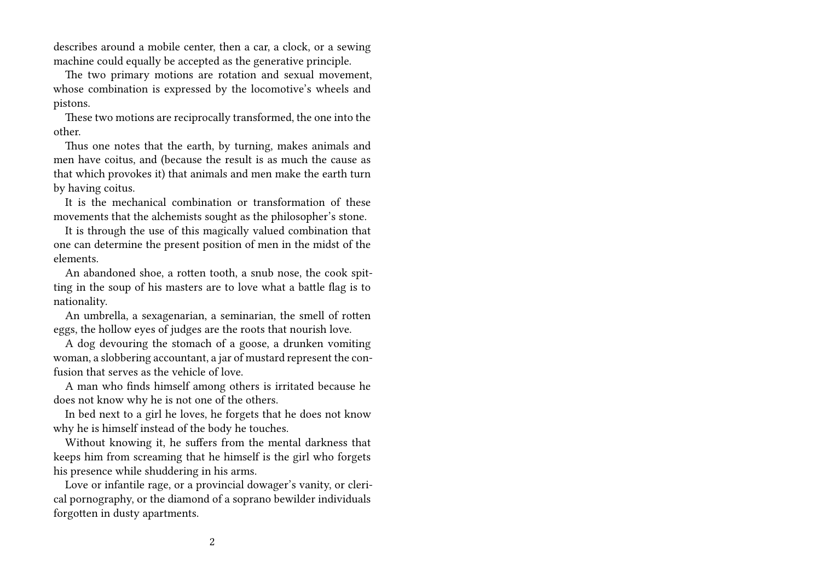describes around a mobile center, then a car, a clock, or a sewing machine could equally be accepted as the generative principle.

The two primary motions are rotation and sexual movement, whose combination is expressed by the locomotive's wheels and pistons.

These two motions are reciprocally transformed, the one into the other.

Thus one notes that the earth, by turning, makes animals and men have coitus, and (because the result is as much the cause as that which provokes it) that animals and men make the earth turn by having coitus.

It is the mechanical combination or transformation of these movements that the alchemists sought as the philosopher's stone.

It is through the use of this magically valued combination that one can determine the present position of men in the midst of the elements.

An abandoned shoe, a rotten tooth, a snub nose, the cook spitting in the soup of his masters are to love what a battle flag is to nationality.

An umbrella, a sexagenarian, a seminarian, the smell of rotten eggs, the hollow eyes of judges are the roots that nourish love.

A dog devouring the stomach of a goose, a drunken vomiting woman, a slobbering accountant, a jar of mustard represent the confusion that serves as the vehicle of love.

A man who finds himself among others is irritated because he does not know why he is not one of the others.

In bed next to a girl he loves, he forgets that he does not know why he is himself instead of the body he touches.

Without knowing it, he suffers from the mental darkness that keeps him from screaming that he himself is the girl who forgets his presence while shuddering in his arms.

Love or infantile rage, or a provincial dowager's vanity, or clerical pornography, or the diamond of a soprano bewilder individuals forgotten in dusty apartments.

2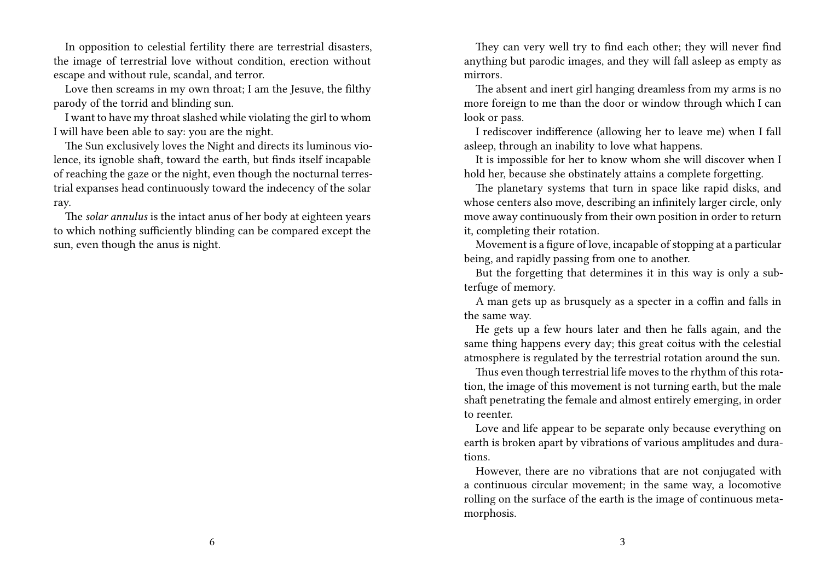In opposition to celestial fertility there are terrestrial disasters, the image of terrestrial love without condition, erection without escape and without rule, scandal, and terror.

Love then screams in my own throat; I am the Jesuve, the filthy parody of the torrid and blinding sun.

I want to have my throat slashed while violating the girl to whom I will have been able to say: you are the night.

The Sun exclusively loves the Night and directs its luminous violence, its ignoble shaft, toward the earth, but finds itself incapable of reaching the gaze or the night, even though the nocturnal terrestrial expanses head continuously toward the indecency of the solar ray.

The *solar annulus* is the intact anus of her body at eighteen years to which nothing sufficiently blinding can be compared except the sun, even though the anus is night.

They can very well try to find each other; they will never find anything but parodic images, and they will fall asleep as empty as mirrors.

The absent and inert girl hanging dreamless from my arms is no more foreign to me than the door or window through which I can look or pass.

I rediscover indifference (allowing her to leave me) when I fall asleep, through an inability to love what happens.

It is impossible for her to know whom she will discover when I hold her, because she obstinately attains a complete forgetting.

The planetary systems that turn in space like rapid disks, and whose centers also move, describing an infinitely larger circle, only move away continuously from their own position in order to return it, completing their rotation.

Movement is a figure of love, incapable of stopping at a particular being, and rapidly passing from one to another.

But the forgetting that determines it in this way is only a subterfuge of memory.

A man gets up as brusquely as a specter in a coffin and falls in the same way.

He gets up a few hours later and then he falls again, and the same thing happens every day; this great coitus with the celestial atmosphere is regulated by the terrestrial rotation around the sun.

Thus even though terrestrial life moves to the rhythm of this rotation, the image of this movement is not turning earth, but the male shaft penetrating the female and almost entirely emerging, in order to reenter.

Love and life appear to be separate only because everything on earth is broken apart by vibrations of various amplitudes and durations.

However, there are no vibrations that are not conjugated with a continuous circular movement; in the same way, a locomotive rolling on the surface of the earth is the image of continuous metamorphosis.